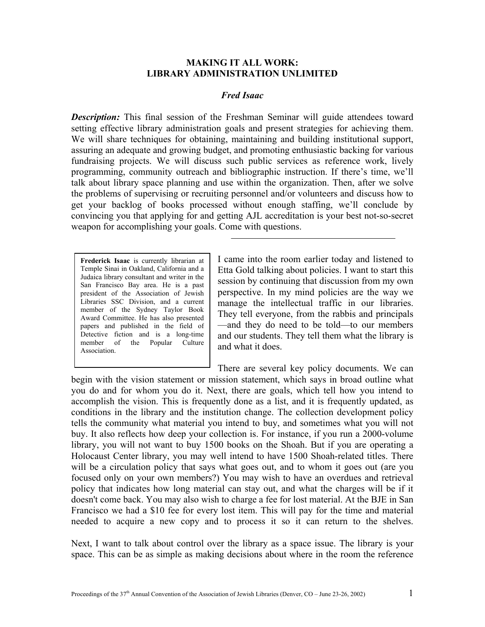## **MAKING IT ALL WORK: LIBRARY ADMINISTRATION UNLIMITED**

## *Fred Isaac*

**Description:** This final session of the Freshman Seminar will guide attendees toward setting effective library administration goals and present strategies for achieving them. We will share techniques for obtaining, maintaining and building institutional support, assuring an adequate and growing budget, and promoting enthusiastic backing for various fundraising projects. We will discuss such public services as reference work, lively programming, community outreach and bibliographic instruction. If there's time, we'll talk about library space planning and use within the organization. Then, after we solve the problems of supervising or recruiting personnel and/or volunteers and discuss how to get your backlog of books processed without enough staffing, we'll conclude by convincing you that applying for and getting AJL accreditation is your best not-so-secret weapon for accomplishing your goals. Come with questions.

**Frederick Isaac** is currently librarian at Temple Sinai in Oakland, California and a Judaica library consultant and writer in the San Francisco Bay area. He is a past president of the Association of Jewish Libraries SSC Division, and a current member of the Sydney Taylor Book Award Committee. He has also presented papers and published in the field of Detective fiction and is a long-time member of the Popular Culture Association.

I came into the room earlier today and listened to Etta Gold talking about policies. I want to start this session by continuing that discussion from my own perspective. In my mind policies are the way we manage the intellectual traffic in our libraries. They tell everyone, from the rabbis and principals —and they do need to be told—to our members and our students. They tell them what the library is and what it does.

There are several key policy documents. We can begin with the vision statement or mission statement, which says in broad outline what you do and for whom you do it. Next, there are goals, which tell how you intend to accomplish the vision. This is frequently done as a list, and it is frequently updated, as conditions in the library and the institution change. The collection development policy tells the community what material you intend to buy, and sometimes what you will not buy. It also reflects how deep your collection is. For instance, if you run a 2000-volume library, you will not want to buy 1500 books on the Shoah. But if you are operating a Holocaust Center library, you may well intend to have 1500 Shoah-related titles. There will be a circulation policy that says what goes out, and to whom it goes out (are you focused only on your own members?) You may wish to have an overdues and retrieval policy that indicates how long material can stay out, and what the charges will be if it doesn't come back. You may also wish to charge a fee for lost material. At the BJE in San Francisco we had a \$10 fee for every lost item. This will pay for the time and material needed to acquire a new copy and to process it so it can return to the shelves.

Next, I want to talk about control over the library as a space issue. The library is your space. This can be as simple as making decisions about where in the room the reference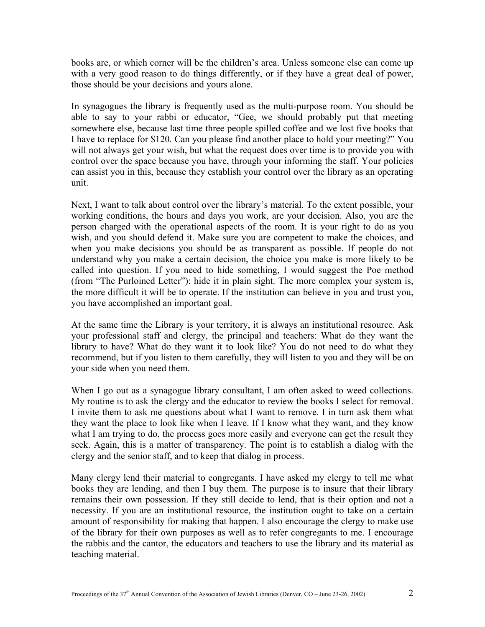books are, or which corner will be the children's area. Unless someone else can come up with a very good reason to do things differently, or if they have a great deal of power, those should be your decisions and yours alone.

In synagogues the library is frequently used as the multi-purpose room. You should be able to say to your rabbi or educator, "Gee, we should probably put that meeting somewhere else, because last time three people spilled coffee and we lost five books that I have to replace for \$120. Can you please find another place to hold your meeting?" You will not always get your wish, but what the request does over time is to provide you with control over the space because you have, through your informing the staff. Your policies can assist you in this, because they establish your control over the library as an operating unit.

Next, I want to talk about control over the library's material. To the extent possible, your working conditions, the hours and days you work, are your decision. Also, you are the person charged with the operational aspects of the room. It is your right to do as you wish, and you should defend it. Make sure you are competent to make the choices, and when you make decisions you should be as transparent as possible. If people do not understand why you make a certain decision, the choice you make is more likely to be called into question. If you need to hide something, I would suggest the Poe method (from "The Purloined Letter"): hide it in plain sight. The more complex your system is, the more difficult it will be to operate. If the institution can believe in you and trust you, you have accomplished an important goal.

At the same time the Library is your territory, it is always an institutional resource. Ask your professional staff and clergy, the principal and teachers: What do they want the library to have? What do they want it to look like? You do not need to do what they recommend, but if you listen to them carefully, they will listen to you and they will be on your side when you need them.

When I go out as a synagogue library consultant, I am often asked to weed collections. My routine is to ask the clergy and the educator to review the books I select for removal. I invite them to ask me questions about what I want to remove. I in turn ask them what they want the place to look like when I leave. If I know what they want, and they know what I am trying to do, the process goes more easily and everyone can get the result they seek. Again, this is a matter of transparency. The point is to establish a dialog with the clergy and the senior staff, and to keep that dialog in process.

Many clergy lend their material to congregants. I have asked my clergy to tell me what books they are lending, and then I buy them. The purpose is to insure that their library remains their own possession. If they still decide to lend, that is their option and not a necessity. If you are an institutional resource, the institution ought to take on a certain amount of responsibility for making that happen. I also encourage the clergy to make use of the library for their own purposes as well as to refer congregants to me. I encourage the rabbis and the cantor, the educators and teachers to use the library and its material as teaching material.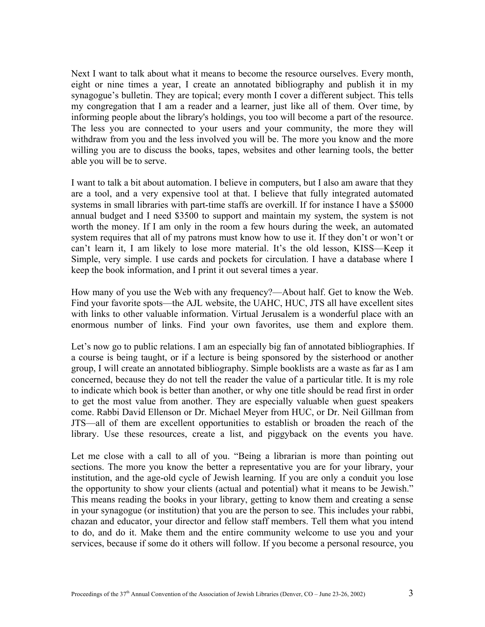Next I want to talk about what it means to become the resource ourselves. Every month, eight or nine times a year, I create an annotated bibliography and publish it in my synagogue's bulletin. They are topical; every month I cover a different subject. This tells my congregation that I am a reader and a learner, just like all of them. Over time, by informing people about the library's holdings, you too will become a part of the resource. The less you are connected to your users and your community, the more they will withdraw from you and the less involved you will be. The more you know and the more willing you are to discuss the books, tapes, websites and other learning tools, the better able you will be to serve.

I want to talk a bit about automation. I believe in computers, but I also am aware that they are a tool, and a very expensive tool at that. I believe that fully integrated automated systems in small libraries with part-time staffs are overkill. If for instance I have a \$5000 annual budget and I need \$3500 to support and maintain my system, the system is not worth the money. If I am only in the room a few hours during the week, an automated system requires that all of my patrons must know how to use it. If they don't or won't or can't learn it, I am likely to lose more material. It's the old lesson, KISS—Keep it Simple, very simple. I use cards and pockets for circulation. I have a database where I keep the book information, and I print it out several times a year.

How many of you use the Web with any frequency?—About half. Get to know the Web. Find your favorite spots—the AJL website, the UAHC, HUC, JTS all have excellent sites with links to other valuable information. Virtual Jerusalem is a wonderful place with an enormous number of links. Find your own favorites, use them and explore them.

Let's now go to public relations. I am an especially big fan of annotated bibliographies. If a course is being taught, or if a lecture is being sponsored by the sisterhood or another group, I will create an annotated bibliography. Simple booklists are a waste as far as I am concerned, because they do not tell the reader the value of a particular title. It is my role to indicate which book is better than another, or why one title should be read first in order to get the most value from another. They are especially valuable when guest speakers come. Rabbi David Ellenson or Dr. Michael Meyer from HUC, or Dr. Neil Gillman from JTS—all of them are excellent opportunities to establish or broaden the reach of the library. Use these resources, create a list, and piggyback on the events you have.

Let me close with a call to all of you. "Being a librarian is more than pointing out sections. The more you know the better a representative you are for your library, your institution, and the age-old cycle of Jewish learning. If you are only a conduit you lose the opportunity to show your clients (actual and potential) what it means to be Jewish." This means reading the books in your library, getting to know them and creating a sense in your synagogue (or institution) that you are the person to see. This includes your rabbi, chazan and educator, your director and fellow staff members. Tell them what you intend to do, and do it. Make them and the entire community welcome to use you and your services, because if some do it others will follow. If you become a personal resource, you